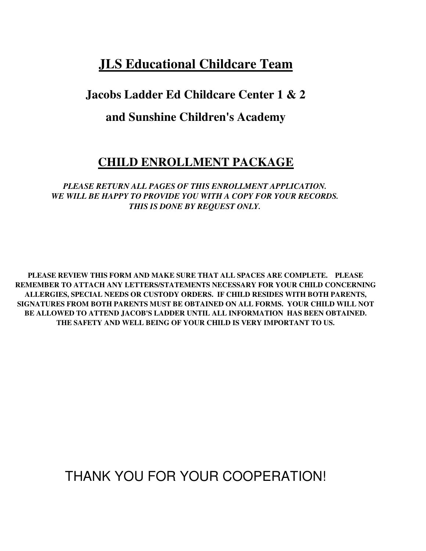## **JLS Educational Childcare Team**

## **Jacobs Ladder Ed Childcare Center 1 & 2**

## **and Sunshine Children's Academy**

## **CHILD ENROLLMENT PACKAGE**

*PLEASE RETURN ALL PAGES OF THIS ENROLLMENT APPLICATION. WE WILL BE HAPPY TO PROVIDE YOU WITH A COPY FOR YOUR RECORDS. THIS IS DONE BY REQUEST ONLY.*

**PLEASE REVIEW THIS FORM AND MAKE SURE THAT ALL SPACES ARE COMPLETE. PLEASE REMEMBER TO ATTACH ANY LETTERS/STATEMENTS NECESSARY FOR YOUR CHILD CONCERNING ALLERGIES, SPECIAL NEEDS OR CUSTODY ORDERS. IF CHILD RESIDES WITH BOTH PARENTS, SIGNATURES FROM BOTH PARENTS MUST BE OBTAINED ON ALL FORMS. YOUR CHILD WILL NOT BE ALLOWED TO ATTEND JACOB'S LADDER UNTIL ALL INFORMATION HAS BEEN OBTAINED. THE SAFETY AND WELL BEING OF YOUR CHILD IS VERY IMPORTANT TO US.** 

THANK YOU FOR YOUR COOPERATION!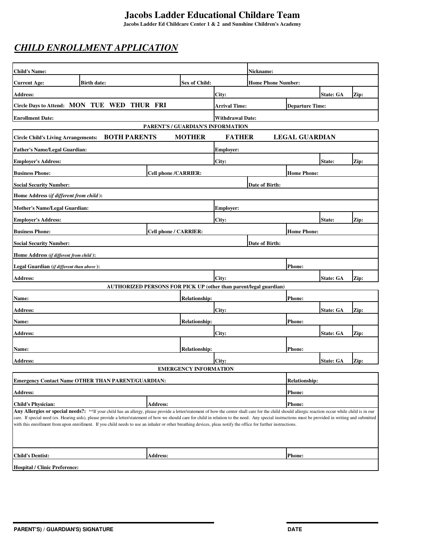**Jacobs Ladder Ed Childcare Center 1 & 2 and Sunshine Children's Academy**

## *CHILD ENROLLMENT APPLICATION*

| <b>Child's Name:</b>                                                                                                                                                                                                                                                                                                                                                                                                                                                                                                                                                           |                             |                              |                                   | Nickname:                 |                        |                  |      |
|--------------------------------------------------------------------------------------------------------------------------------------------------------------------------------------------------------------------------------------------------------------------------------------------------------------------------------------------------------------------------------------------------------------------------------------------------------------------------------------------------------------------------------------------------------------------------------|-----------------------------|------------------------------|-----------------------------------|---------------------------|------------------------|------------------|------|
| <b>Current Age:</b><br><b>Birth date:</b>                                                                                                                                                                                                                                                                                                                                                                                                                                                                                                                                      |                             | Sex of Child:                |                                   | <b>Home Phone Number:</b> |                        |                  |      |
| <b>Address:</b>                                                                                                                                                                                                                                                                                                                                                                                                                                                                                                                                                                |                             |                              | City:                             |                           |                        | <b>State: GA</b> | Zip: |
| Circle Days to Attend: MON TUE WED THUR FRI                                                                                                                                                                                                                                                                                                                                                                                                                                                                                                                                    |                             |                              | <b>Arrival Time:</b>              |                           | <b>Departure Time:</b> |                  |      |
| <b>Enrollment Date:</b>                                                                                                                                                                                                                                                                                                                                                                                                                                                                                                                                                        |                             |                              | <b>Withdrawal Date:</b>           |                           |                        |                  |      |
|                                                                                                                                                                                                                                                                                                                                                                                                                                                                                                                                                                                |                             |                              | PARENT'S / GUARDIAN'S INFORMATION |                           |                        |                  |      |
| <b>BOTH PARENTS</b><br><b>Circle Child's Living Arrangements:</b>                                                                                                                                                                                                                                                                                                                                                                                                                                                                                                              |                             | <b>MOTHER</b>                | <b>FATHER</b>                     |                           | <b>LEGAL GUARDIAN</b>  |                  |      |
| <b>Father's Name/Legal Guardian:</b>                                                                                                                                                                                                                                                                                                                                                                                                                                                                                                                                           |                             |                              | <b>Employer:</b>                  |                           |                        |                  |      |
| <b>Employer's Address:</b>                                                                                                                                                                                                                                                                                                                                                                                                                                                                                                                                                     |                             |                              | City:                             |                           |                        | State:           | Zip: |
| <b>Business Phone:</b>                                                                                                                                                                                                                                                                                                                                                                                                                                                                                                                                                         | <b>Cell phone /CARRIER:</b> |                              |                                   |                           | <b>Home Phone:</b>     |                  |      |
| <b>Social Security Number:</b>                                                                                                                                                                                                                                                                                                                                                                                                                                                                                                                                                 |                             |                              |                                   | Date of Birth:            |                        |                  |      |
| Home Address (if different from child):                                                                                                                                                                                                                                                                                                                                                                                                                                                                                                                                        |                             |                              |                                   |                           |                        |                  |      |
| <b>Mother's Name/Legal Guardian:</b>                                                                                                                                                                                                                                                                                                                                                                                                                                                                                                                                           |                             |                              | <b>Employer:</b>                  |                           |                        |                  |      |
| <b>Employer's Address:</b>                                                                                                                                                                                                                                                                                                                                                                                                                                                                                                                                                     |                             |                              | City:                             |                           |                        | State:           | Zip: |
| <b>Business Phone:</b>                                                                                                                                                                                                                                                                                                                                                                                                                                                                                                                                                         | Cell phone / CARRIER:       |                              |                                   |                           | <b>Home Phone:</b>     |                  |      |
| <b>Social Security Number:</b>                                                                                                                                                                                                                                                                                                                                                                                                                                                                                                                                                 |                             |                              |                                   | Date of Birth:            |                        |                  |      |
| Home Address (if different from child):                                                                                                                                                                                                                                                                                                                                                                                                                                                                                                                                        |                             |                              |                                   |                           |                        |                  |      |
| Legal Guardian (if different than above):                                                                                                                                                                                                                                                                                                                                                                                                                                                                                                                                      |                             |                              |                                   |                           | <b>Phone:</b>          |                  |      |
| <b>Address:</b>                                                                                                                                                                                                                                                                                                                                                                                                                                                                                                                                                                |                             |                              | City:                             |                           |                        | <b>State: GA</b> | Zip: |
| <b>AUTHORIZED PERSONS FOR PICK UP (other than parent/legal guardian)</b>                                                                                                                                                                                                                                                                                                                                                                                                                                                                                                       |                             |                              |                                   |                           |                        |                  |      |
| Name:                                                                                                                                                                                                                                                                                                                                                                                                                                                                                                                                                                          |                             | <b>Relationship:</b>         |                                   |                           | Phone:                 |                  |      |
| <b>Address:</b>                                                                                                                                                                                                                                                                                                                                                                                                                                                                                                                                                                |                             |                              | City:                             |                           |                        | <b>State: GA</b> | Zip: |
| Name:                                                                                                                                                                                                                                                                                                                                                                                                                                                                                                                                                                          |                             | <b>Relationship:</b>         |                                   |                           | <b>Phone:</b>          |                  |      |
| <b>Address:</b>                                                                                                                                                                                                                                                                                                                                                                                                                                                                                                                                                                |                             |                              | City:                             |                           |                        | <b>State: GA</b> | Zip: |
| Name:                                                                                                                                                                                                                                                                                                                                                                                                                                                                                                                                                                          |                             | <b>Relationship:</b>         |                                   |                           | <b>Phone:</b>          |                  |      |
| <b>Address:</b>                                                                                                                                                                                                                                                                                                                                                                                                                                                                                                                                                                |                             |                              | City:                             |                           |                        | <b>State: GA</b> | Zip: |
|                                                                                                                                                                                                                                                                                                                                                                                                                                                                                                                                                                                |                             | <b>EMERGENCY INFORMATION</b> |                                   |                           |                        |                  |      |
| <b>Emergency Contact Name OTHER THAN PARENT/GUARDIAN:</b>                                                                                                                                                                                                                                                                                                                                                                                                                                                                                                                      |                             |                              |                                   |                           | <b>Relationship:</b>   |                  |      |
| <b>Address:</b>                                                                                                                                                                                                                                                                                                                                                                                                                                                                                                                                                                |                             |                              |                                   |                           | <b>Phone:</b>          |                  |      |
| <b>Child's Physician:</b>                                                                                                                                                                                                                                                                                                                                                                                                                                                                                                                                                      | Address:                    |                              |                                   |                           | <b>Phone:</b>          |                  |      |
| Any Allergies or special needs?: **If your child has an allergy, please provide a letter/statement of how the center shall care for the child should allergic reaction occur while child is in our<br>care. If special need (ex. Hearing aids), please provide a letter/statement of how we should care for child in relation to the need. Any special instructions must be provided in writing and submitted<br>with this enrollment from upon enrollment. If you child needs to use an inhaler or other breathing devices, pleas notify the office for further instructions. |                             |                              |                                   |                           |                        |                  |      |
| <b>Child's Dentist:</b>                                                                                                                                                                                                                                                                                                                                                                                                                                                                                                                                                        | <b>Address:</b>             |                              |                                   |                           | <b>Phone:</b>          |                  |      |
| <b>Hospital / Clinic Preference:</b>                                                                                                                                                                                                                                                                                                                                                                                                                                                                                                                                           |                             |                              |                                   |                           |                        |                  |      |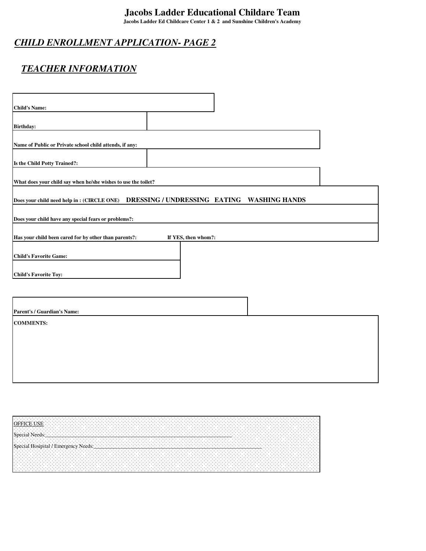**Jacobs Ladder Ed Childcare Center 1 & 2 and Sunshine Children's Academy**

### *CHILD ENROLLMENT APPLICATION- PAGE 2*

## *TEACHER INFORMATION*

| <b>Child's Name:</b>                                                                               |  |
|----------------------------------------------------------------------------------------------------|--|
|                                                                                                    |  |
| <b>Birthday:</b>                                                                                   |  |
|                                                                                                    |  |
| Name of Public or Private school child attends, if any:                                            |  |
|                                                                                                    |  |
| Is the Child Potty Trained?:                                                                       |  |
|                                                                                                    |  |
| What does your child say when he/she wishes to use the toilet?                                     |  |
| DRESSING / UNDRESSING EATING<br><b>WASHING HANDS</b><br>Does your child need help in: (CIRCLE ONE) |  |
|                                                                                                    |  |
| Does your child have any special fears or problems?:                                               |  |
|                                                                                                    |  |
| Has your child been cared for by other than parents?:<br>If YES, then whom?:                       |  |
|                                                                                                    |  |
| <b>Child's Favorite Game:</b>                                                                      |  |
|                                                                                                    |  |
| <b>Child's Favorite Toy:</b>                                                                       |  |
|                                                                                                    |  |
|                                                                                                    |  |
| Parent's / Guardian's Name:                                                                        |  |
| <b>COMMENTS:</b>                                                                                   |  |
|                                                                                                    |  |
|                                                                                                    |  |
|                                                                                                    |  |
|                                                                                                    |  |
|                                                                                                    |  |
|                                                                                                    |  |
|                                                                                                    |  |
|                                                                                                    |  |

| . |          |  |              |     |  |  |  |                    |  |                                           |  |  |  |  |  |  |  |  |  |  |  |  |  |  |  |  |  |  |  |  |  |  |  |  |  |  |  |  |  |  |  |  |  |  |  |  |  | .               |  |
|---|----------|--|--------------|-----|--|--|--|--------------------|--|-------------------------------------------|--|--|--|--|--|--|--|--|--|--|--|--|--|--|--|--|--|--|--|--|--|--|--|--|--|--|--|--|--|--|--|--|--|--|--|--|--|-----------------|--|
| . |          |  |              |     |  |  |  |                    |  |                                           |  |  |  |  |  |  |  |  |  |  |  |  |  |  |  |  |  |  |  |  |  |  |  |  |  |  |  |  |  |  |  |  |  |  |  |  |  | .               |  |
|   |          |  |              |     |  |  |  |                    |  |                                           |  |  |  |  |  |  |  |  |  |  |  |  |  |  |  |  |  |  |  |  |  |  |  |  |  |  |  |  |  |  |  |  |  |  |  |  |  | . .             |  |
|   |          |  |              | .   |  |  |  |                    |  |                                           |  |  |  |  |  |  |  |  |  |  |  |  |  |  |  |  |  |  |  |  |  |  |  |  |  |  |  |  |  |  |  |  |  |  |  |  |  |                 |  |
|   |          |  |              | USE |  |  |  |                    |  |                                           |  |  |  |  |  |  |  |  |  |  |  |  |  |  |  |  |  |  |  |  |  |  |  |  |  |  |  |  |  |  |  |  |  |  |  |  |  |                 |  |
|   |          |  |              |     |  |  |  |                    |  |                                           |  |  |  |  |  |  |  |  |  |  |  |  |  |  |  |  |  |  |  |  |  |  |  |  |  |  |  |  |  |  |  |  |  |  |  |  |  |                 |  |
|   |          |  |              |     |  |  |  |                    |  |                                           |  |  |  |  |  |  |  |  |  |  |  |  |  |  |  |  |  |  |  |  |  |  |  |  |  |  |  |  |  |  |  |  |  |  |  |  |  |                 |  |
|   |          |  |              |     |  |  |  |                    |  |                                           |  |  |  |  |  |  |  |  |  |  |  |  |  |  |  |  |  |  |  |  |  |  |  |  |  |  |  |  |  |  |  |  |  |  |  |  |  |                 |  |
|   |          |  |              |     |  |  |  |                    |  |                                           |  |  |  |  |  |  |  |  |  |  |  |  |  |  |  |  |  |  |  |  |  |  |  |  |  |  |  |  |  |  |  |  |  |  |  |  |  |                 |  |
|   |          |  |              |     |  |  |  |                    |  |                                           |  |  |  |  |  |  |  |  |  |  |  |  |  |  |  |  |  |  |  |  |  |  |  |  |  |  |  |  |  |  |  |  |  |  |  |  |  |                 |  |
|   |          |  | <b>N</b> Aor |     |  |  |  |                    |  |                                           |  |  |  |  |  |  |  |  |  |  |  |  |  |  |  |  |  |  |  |  |  |  |  |  |  |  |  |  |  |  |  |  |  |  |  |  |  |                 |  |
|   |          |  |              |     |  |  |  |                    |  |                                           |  |  |  |  |  |  |  |  |  |  |  |  |  |  |  |  |  |  |  |  |  |  |  |  |  |  |  |  |  |  |  |  |  |  |  |  |  |                 |  |
|   | $\cdots$ |  |              |     |  |  |  |                    |  |                                           |  |  |  |  |  |  |  |  |  |  |  |  |  |  |  |  |  |  |  |  |  |  |  |  |  |  |  |  |  |  |  |  |  |  |  |  |  |                 |  |
|   |          |  |              |     |  |  |  |                    |  |                                           |  |  |  |  |  |  |  |  |  |  |  |  |  |  |  |  |  |  |  |  |  |  |  |  |  |  |  |  |  |  |  |  |  |  |  |  |  |                 |  |
|   |          |  |              |     |  |  |  |                    |  |                                           |  |  |  |  |  |  |  |  |  |  |  |  |  |  |  |  |  |  |  |  |  |  |  |  |  |  |  |  |  |  |  |  |  |  |  |  |  |                 |  |
|   |          |  |              |     |  |  |  |                    |  |                                           |  |  |  |  |  |  |  |  |  |  |  |  |  |  |  |  |  |  |  |  |  |  |  |  |  |  |  |  |  |  |  |  |  |  |  |  |  |                 |  |
|   |          |  |              |     |  |  |  |                    |  |                                           |  |  |  |  |  |  |  |  |  |  |  |  |  |  |  |  |  |  |  |  |  |  |  |  |  |  |  |  |  |  |  |  |  |  |  |  |  |                 |  |
|   |          |  |              |     |  |  |  |                    |  |                                           |  |  |  |  |  |  |  |  |  |  |  |  |  |  |  |  |  |  |  |  |  |  |  |  |  |  |  |  |  |  |  |  |  |  |  |  |  |                 |  |
|   |          |  |              |     |  |  |  |                    |  |                                           |  |  |  |  |  |  |  |  |  |  |  |  |  |  |  |  |  |  |  |  |  |  |  |  |  |  |  |  |  |  |  |  |  |  |  |  |  |                 |  |
|   |          |  | Hosipital /  |     |  |  |  |                    |  |                                           |  |  |  |  |  |  |  |  |  |  |  |  |  |  |  |  |  |  |  |  |  |  |  |  |  |  |  |  |  |  |  |  |  |  |  |  |  |                 |  |
| . |          |  |              |     |  |  |  | / Emergency Needs: |  | $\sim$ $\sim$ $\sim$ $\sim$ $\sim$ $\sim$ |  |  |  |  |  |  |  |  |  |  |  |  |  |  |  |  |  |  |  |  |  |  |  |  |  |  |  |  |  |  |  |  |  |  |  |  |  |                 |  |
|   |          |  |              |     |  |  |  |                    |  |                                           |  |  |  |  |  |  |  |  |  |  |  |  |  |  |  |  |  |  |  |  |  |  |  |  |  |  |  |  |  |  |  |  |  |  |  |  |  |                 |  |
|   |          |  |              |     |  |  |  |                    |  |                                           |  |  |  |  |  |  |  |  |  |  |  |  |  |  |  |  |  |  |  |  |  |  |  |  |  |  |  |  |  |  |  |  |  |  |  |  |  |                 |  |
|   |          |  |              |     |  |  |  |                    |  |                                           |  |  |  |  |  |  |  |  |  |  |  |  |  |  |  |  |  |  |  |  |  |  |  |  |  |  |  |  |  |  |  |  |  |  |  |  |  |                 |  |
|   |          |  |              |     |  |  |  |                    |  |                                           |  |  |  |  |  |  |  |  |  |  |  |  |  |  |  |  |  |  |  |  |  |  |  |  |  |  |  |  |  |  |  |  |  |  |  |  |  |                 |  |
|   |          |  |              |     |  |  |  |                    |  |                                           |  |  |  |  |  |  |  |  |  |  |  |  |  |  |  |  |  |  |  |  |  |  |  |  |  |  |  |  |  |  |  |  |  |  |  |  |  |                 |  |
| . |          |  |              |     |  |  |  |                    |  |                                           |  |  |  |  |  |  |  |  |  |  |  |  |  |  |  |  |  |  |  |  |  |  |  |  |  |  |  |  |  |  |  |  |  |  |  |  |  |                 |  |
|   |          |  |              |     |  |  |  |                    |  |                                           |  |  |  |  |  |  |  |  |  |  |  |  |  |  |  |  |  |  |  |  |  |  |  |  |  |  |  |  |  |  |  |  |  |  |  |  |  |                 |  |
|   |          |  |              |     |  |  |  |                    |  |                                           |  |  |  |  |  |  |  |  |  |  |  |  |  |  |  |  |  |  |  |  |  |  |  |  |  |  |  |  |  |  |  |  |  |  |  |  |  | $\cdot$ $\cdot$ |  |
|   |          |  |              |     |  |  |  |                    |  |                                           |  |  |  |  |  |  |  |  |  |  |  |  |  |  |  |  |  |  |  |  |  |  |  |  |  |  |  |  |  |  |  |  |  |  |  |  |  |                 |  |
|   |          |  |              |     |  |  |  |                    |  |                                           |  |  |  |  |  |  |  |  |  |  |  |  |  |  |  |  |  |  |  |  |  |  |  |  |  |  |  |  |  |  |  |  |  |  |  |  |  |                 |  |
|   |          |  |              |     |  |  |  |                    |  |                                           |  |  |  |  |  |  |  |  |  |  |  |  |  |  |  |  |  |  |  |  |  |  |  |  |  |  |  |  |  |  |  |  |  |  |  |  |  |                 |  |
|   |          |  |              |     |  |  |  |                    |  |                                           |  |  |  |  |  |  |  |  |  |  |  |  |  |  |  |  |  |  |  |  |  |  |  |  |  |  |  |  |  |  |  |  |  |  |  |  |  |                 |  |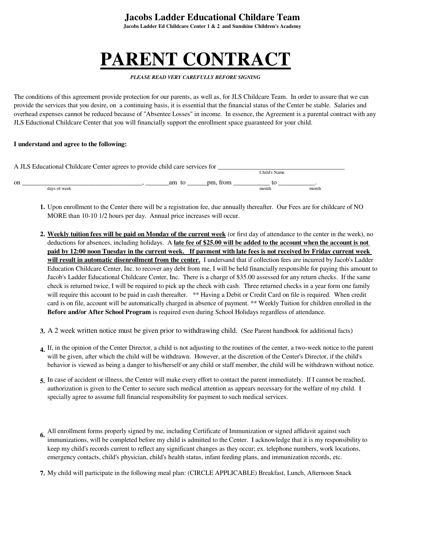**Jacobs Ladder Ed Childcare Center 1 & 2 and Sunshine Children's Academy**

# **PARENT CONTRACT**

#### *PLEASE READ VERY CAREFULLY BEFORE SIGNING*

The conditions of this agreement provide protection for our parents, as well as, for JLS Childcare Team. In order to assure that we can provide the services that you desire, on a continuing basis, it is essential that the financial status of the Center be stable. Salaries and overhead expenses cannot be reduced because of "Absentee Losses" in income. In essence, the Agreement is a parental contract with any JLS Eductional Childcare Center that you will financially support the enrollment space guaranteed for your child.

#### **I understand and agree to the following:**

|    | A JLS Educational Childcare Center agrees to provide child care services for |          |          |              |       |
|----|------------------------------------------------------------------------------|----------|----------|--------------|-------|
|    |                                                                              |          |          | Child's Name |       |
| on |                                                                              | am<br>tΩ | pm. from |              |       |
|    | days of week                                                                 |          |          | month        | month |

- **1.** Upon enrollment to the Center there will be a registration fee, due annually thereafter. Our Fees are for childcare of NO MORE than 10-10 1/2 hours per day. Annual price increases will occur.
- 2. Weekly tuition fees will be paid on Monday of the current week (or first day of attendance to the center in the week), no deductions for absences, including holidays. A **late fee of \$25.00 will be added to the account when the account is not paid by 12:00 noon Tuesday in the current week. If payment with late fees is not received by Friday current week will result in automatic disenrollment from the center.** I undersand that if collection fees are incurred by Jacob's Ladder Education Childcare Center, Inc. to recover any debt from me, I will be held financially responsible for paying this amount to Jacob's Ladder Educational Childcare Center, Inc. There is a charge of \$35.00 assessed for any return checks. If the same check is returned twice, I will be required to pick up the check with cash. Three returned checks in a year form one family will require this account to be paid in cash thereafter. \*\* Having a Debit or Credit Card on file is required. When credit card is on file, account will be automatically charged in absence of payment. \*\* Weekly Tuition for children enrolled in the **Before and/or After School Program** is required even during School Holidays regardless of attendance.
- **3.** A 2 week written notice must be given prior to withdrawing child. (See Parent handbook for additional facts)
- **4.** If, in the opinion of the Center Director, a child is not adjusting to the routines of the center, a two-week notice to the parent will be given, after which the child will be withdrawn. However, at the discretion of the Center's Director, if the child's behavior is viewed as being a danger to his/herself or any child or staff member, the child will be withdrawn without notice.
- **5.** In case of accident or illness, the Center will make every effort to contact the parent immediately. If I cannot be reached, authorization is given to the Center to secure such medical attention as appears necessary for the welfare of my child. I specially agree to assume full financial responsibility for payment to such medical services.
- **6.** All enrollment forms properly signed by me, including Certificate of Immunization or signed affidavit against such immunizations, will be completed before my child is admitted to the Center. I acknowledge that it is my responsibility to keep my child's records current to reflect any significant changes as they occur; ex. telephone numbers, work locations, emergency contacts, child's physician, child's health status, infant feeding plans, and immunization records, etc.
- **7.** My child will participate in the following meal plan: (CIRCLE APPLICABLE) Breakfast, Lunch, Afternoon Snack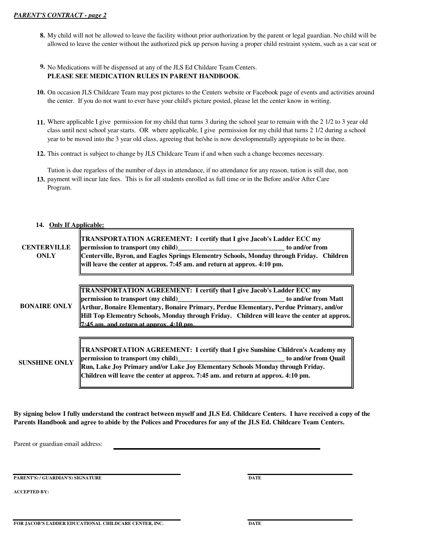**8.** My child will not be allowed to leave the facility without prior authorization by the parent or legal guardian. No child will be allowed to leave the center without the authorized pick up person having a proper child restraint system, such as a car seat or

#### **9.** No Medications will be dispensed at any of the JLS Ed Childare Team Centers. **PLEASE SEE MEDICATION RULES IN PARENT HANDBOOK**.

- **10.** On occasion JLS Childcare Team may post pictures to the Centers website or Facebook page of events and activities around the center. If you do not want to ever have your child's picture posted, please let the center know in writing.
- **11.** Where applicable I give permission for my child that turns 3 during the school year to remain with the 2 1/2 to 3 year old class until next school year starts. OR where applicable, I give permission for my child that turns 2 1/2 during a school year to be moved into the 3 year old class, agreeing that he/she is now developmentally appropitate to be in there.
- **12.** This contract is subject to change by JLS Childcare Team if and when such a change becomes necessary.

**13.** payment will incur late fees. This is for all students enrolled as full time or in the Before and/or After Care Tution is due regarless of the number of days in attendance, if no attendance for any reason, tution is still due, non Program.

#### **14. Only If Applicable:**

| <b>CENTERVILLE</b><br>ONLY | TRANSPORTATION AGREEMENT: I certify that I give Jacob's Ladder ECC my<br>Centerville, Byron, and Eagles Springs Elementry Schools, Monday through Friday. Children<br>will leave the center at approx. 7:45 am. and return at approx. 4:10 pm.                                                                     |
|----------------------------|--------------------------------------------------------------------------------------------------------------------------------------------------------------------------------------------------------------------------------------------------------------------------------------------------------------------|
| <b>BONAIRE ONLY</b>        | <b>TRANSPORTATION AGREEMENT: I certify that I give Jacob's Ladder ECC my</b><br>Arthur, Bonaire Elementary, Bonaire Primary, Perdue Elementary, Perdue Primary, and/or<br>Hill Top Elementry Schools, Monday through Friday. Children will leave the center at approx.<br>$7.45$ am and return at annrox $4.10$ nm |
| <b>SUNSHINE ONLY</b>       | <b>TRANSPORTATION AGREEMENT: I certify that I give Sunshine Children's Academy my</b><br>Run, Lake Joy Primary and/or Lake Joy Elementary Schools Monday through Friday.<br>Children will leave the center at approx. 7:45 am. and return at approx. 4:10 pm.                                                      |

**By signing below I fully understand the contract between myself and JLS Ed. Childcare Centers. I have received a copy of the Parents Handbook and agree to abide by the Polices and Procedures for any of the JLS Ed. Childcare Team Centers.**

Parent or guardian email address:

**PARENT'S) / GUARDIAN'S) SIGNATURE DATE** 

**ACCEPTED BY:**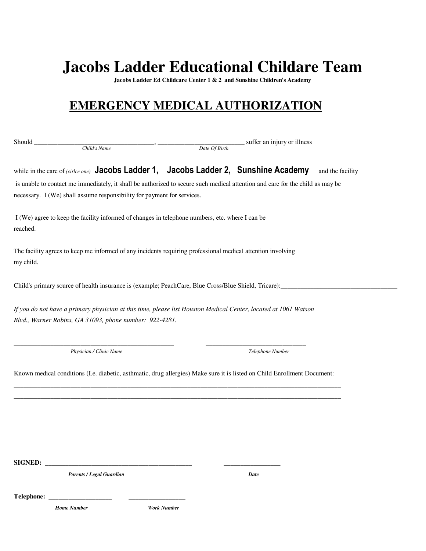**Jacobs Ladder Ed Childcare Center 1 & 2 and Sunshine Children's Academy**

## **EMERGENCY MEDICAL AUTHORIZATION**

Should \_\_\_\_\_\_\_\_\_\_\_\_\_\_\_\_\_\_\_\_\_\_\_\_\_\_\_\_\_\_\_\_\_\_\_\_, \_\_\_\_\_\_\_\_\_\_\_\_\_\_\_\_\_\_\_\_\_\_\_\_\_\_ suffer an injury or illness *Child's Name Date Of Birth*

while in the care of *(cirlce one)* Jacobs Ladder 1, Jacobs Ladder 2, Sunshine Academy and the facility is unable to contact me immediately, it shall be authorized to secure such medical attention and care for the child as may be necessary. I (We) shall assume responsibility for payment for services.

 I (We) agree to keep the facility informed of changes in telephone numbers, etc. where I can be reached.

The facility agrees to keep me informed of any incidents requiring professional medical attention involving my child.

Child's primary source of health insurance is (example; PeachCare, Blue Cross/Blue Shield, Tricare):\_\_\_\_\_\_\_\_\_\_\_\_\_\_\_\_\_\_\_\_\_\_\_\_\_\_\_\_\_\_\_\_\_\_\_

*If you do not have a primary physician at this time, please list Houston Medical Center, located at 1061 Watson Blvd., Warner Robins, GA 31093, phone number: 922-4281.*

\_\_\_\_\_\_\_\_\_\_\_\_\_\_\_\_\_\_\_\_\_\_\_\_\_\_\_\_\_\_\_\_\_\_\_\_\_\_\_\_\_\_\_\_\_\_\_\_ \_\_\_\_\_\_\_\_\_\_\_\_\_\_\_\_\_\_\_\_\_\_\_\_\_\_\_\_\_\_

*Physician / Clinic Name*

*Telephone Number*

Known medical conditions (I.e. diabetic, asthmatic, drug allergies) Make sure it is listed on Child Enrollment Document: **\_\_\_\_\_\_\_\_\_\_\_\_\_\_\_\_\_\_\_\_\_\_\_\_\_\_\_\_\_\_\_\_\_\_\_\_\_\_\_\_\_\_\_\_\_\_\_\_\_\_\_\_\_\_\_\_\_\_\_\_\_\_\_\_\_\_\_\_\_\_\_\_\_\_\_\_\_\_\_\_\_\_\_\_\_\_\_\_\_\_\_\_\_\_\_\_\_\_**

**\_\_\_\_\_\_\_\_\_\_\_\_\_\_\_\_\_\_\_\_\_\_\_\_\_\_\_\_\_\_\_\_\_\_\_\_\_\_\_\_\_\_\_\_\_\_\_\_\_\_\_\_\_\_\_\_\_\_\_\_\_\_\_\_\_\_\_\_\_\_\_\_\_\_\_\_\_\_\_\_\_\_\_\_\_\_\_\_\_\_\_\_\_\_\_\_\_\_**

 $SIGNED:$ 

*Parents / Legal Guardian*

*Date*

 $Telephone:$ 

 *Home Number Work Number*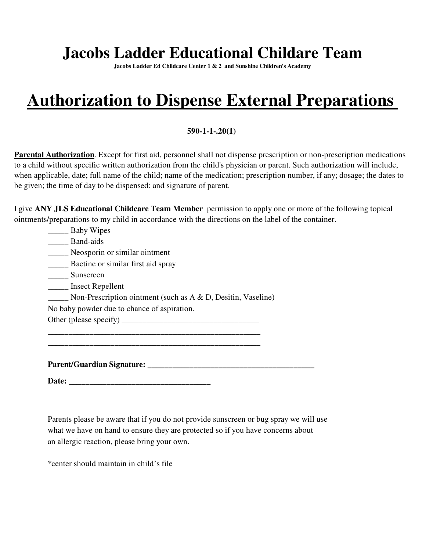**Jacobs Ladder Ed Childcare Center 1 & 2 and Sunshine Children's Academy**

# **Authorization to Dispense External Preparations**

#### **590-1-1-.20(1)**

**Parental Authorization**. Except for first aid, personnel shall not dispense prescription or non-prescription medications to a child without specific written authorization from the child's physician or parent. Such authorization will include, when applicable, date; full name of the child; name of the medication; prescription number, if any; dosage; the dates to be given; the time of day to be dispensed; and signature of parent.

|                                                                                                     | I give ANY JLS Educational Childcare Team Member permission to apply one or more of the following topical |
|-----------------------------------------------------------------------------------------------------|-----------------------------------------------------------------------------------------------------------|
| ointments/preparations to my child in accordance with the directions on the label of the container. |                                                                                                           |

| <b>Baby Wipes</b> |  |
|-------------------|--|
| Band-aids         |  |

\_\_\_\_\_ Neosporin or similar ointment

\_\_\_\_\_ Bactine or similar first aid spray

\_\_\_\_\_ Sunscreen

\_\_\_\_\_ Insect Repellent

\_\_\_\_\_ Non-Prescription ointment (such as A & D, Desitin, Vaseline)

\_\_\_\_\_\_\_\_\_\_\_\_\_\_\_\_\_\_\_\_\_\_\_\_\_\_\_\_\_\_\_\_\_\_\_\_\_\_\_\_\_\_\_\_\_\_\_\_\_\_\_ \_\_\_\_\_\_\_\_\_\_\_\_\_\_\_\_\_\_\_\_\_\_\_\_\_\_\_\_\_\_\_\_\_\_\_\_\_\_\_\_\_\_\_\_\_\_\_\_\_\_\_

No baby powder due to chance of aspiration.

Other (please specify)  $\frac{1}{2}$  =  $\frac{1}{2}$  =  $\frac{1}{2}$  =  $\frac{1}{2}$  =  $\frac{1}{2}$  =  $\frac{1}{2}$  =  $\frac{1}{2}$  =  $\frac{1}{2}$  =  $\frac{1}{2}$  =  $\frac{1}{2}$  =  $\frac{1}{2}$  =  $\frac{1}{2}$  =  $\frac{1}{2}$  =  $\frac{1}{2}$  =  $\frac{1}{2}$  =  $\frac{1}{2}$  =  $\frac{1}{$ 

**Parent/Guardian Signature: \_\_\_\_\_\_\_\_\_\_\_\_\_\_\_\_\_\_\_\_\_\_\_\_\_\_\_\_\_\_\_\_\_\_\_\_\_\_\_\_**

**Date: \_\_\_\_\_\_\_\_\_\_\_\_\_\_\_\_\_\_\_\_\_\_\_\_\_\_\_\_\_\_\_\_\_\_**

Parents please be aware that if you do not provide sunscreen or bug spray we will use what we have on hand to ensure they are protected so if you have concerns about an allergic reaction, please bring your own.

\*center should maintain in child's file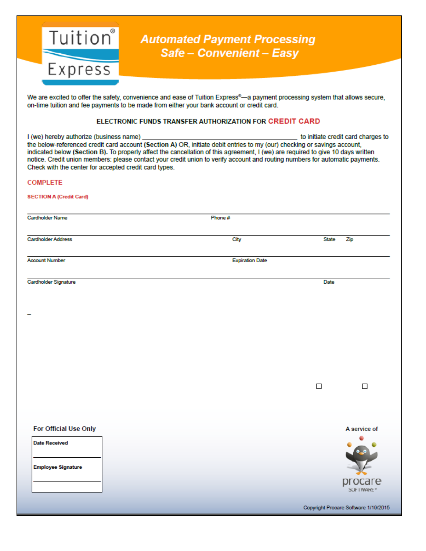

# Tuition Automated Payment Processing<br>Safe – Convenient – Easy

We are excited to offer the safety, convenience and ease of Tuition Express®-a payment processing system that allows secure, on-time tuition and fee payments to be made from either your bank account or credit card.

#### ELECTRONIC FUNDS TRANSFER AUTHORIZATION FOR CREDIT CARD

| I (we) hereby authorize (business name)<br>Check with the center for accepted credit card types. | the below-referenced credit card account (Section A) OR, initiate debit entries to my (our) checking or savings account,<br>indicated below (Section B). To properly affect the cancellation of this agreement, I (we) are required to give 10 days written<br>notice. Credit union members: please contact your credit union to verify account and routing numbers for automatic payments. |              | to initiate credit card charges to   |
|--------------------------------------------------------------------------------------------------|---------------------------------------------------------------------------------------------------------------------------------------------------------------------------------------------------------------------------------------------------------------------------------------------------------------------------------------------------------------------------------------------|--------------|--------------------------------------|
| <b>COMPLETE</b>                                                                                  |                                                                                                                                                                                                                                                                                                                                                                                             |              |                                      |
| <b>SECTION A (Credit Card)</b>                                                                   |                                                                                                                                                                                                                                                                                                                                                                                             |              |                                      |
| <b>Cardholder Name</b>                                                                           | Phone#                                                                                                                                                                                                                                                                                                                                                                                      |              |                                      |
| <b>Cardholder Address</b>                                                                        | City                                                                                                                                                                                                                                                                                                                                                                                        | <b>State</b> | Zip                                  |
| <b>Account Number</b>                                                                            | <b>Expiration Date</b>                                                                                                                                                                                                                                                                                                                                                                      |              |                                      |
| Cardholder Signature                                                                             |                                                                                                                                                                                                                                                                                                                                                                                             | Date         |                                      |
|                                                                                                  |                                                                                                                                                                                                                                                                                                                                                                                             |              |                                      |
|                                                                                                  |                                                                                                                                                                                                                                                                                                                                                                                             |              |                                      |
|                                                                                                  |                                                                                                                                                                                                                                                                                                                                                                                             | $\Box$       | □                                    |
| For Official Use Only                                                                            |                                                                                                                                                                                                                                                                                                                                                                                             |              | A service of                         |
| <b>Date Received</b>                                                                             |                                                                                                                                                                                                                                                                                                                                                                                             |              | ٠                                    |
| <b>Employee Signature</b>                                                                        |                                                                                                                                                                                                                                                                                                                                                                                             |              | procare                              |
|                                                                                                  |                                                                                                                                                                                                                                                                                                                                                                                             |              | <b>SUFTWARE</b>                      |
|                                                                                                  |                                                                                                                                                                                                                                                                                                                                                                                             |              | Copyright Procare Software 1/19/2015 |